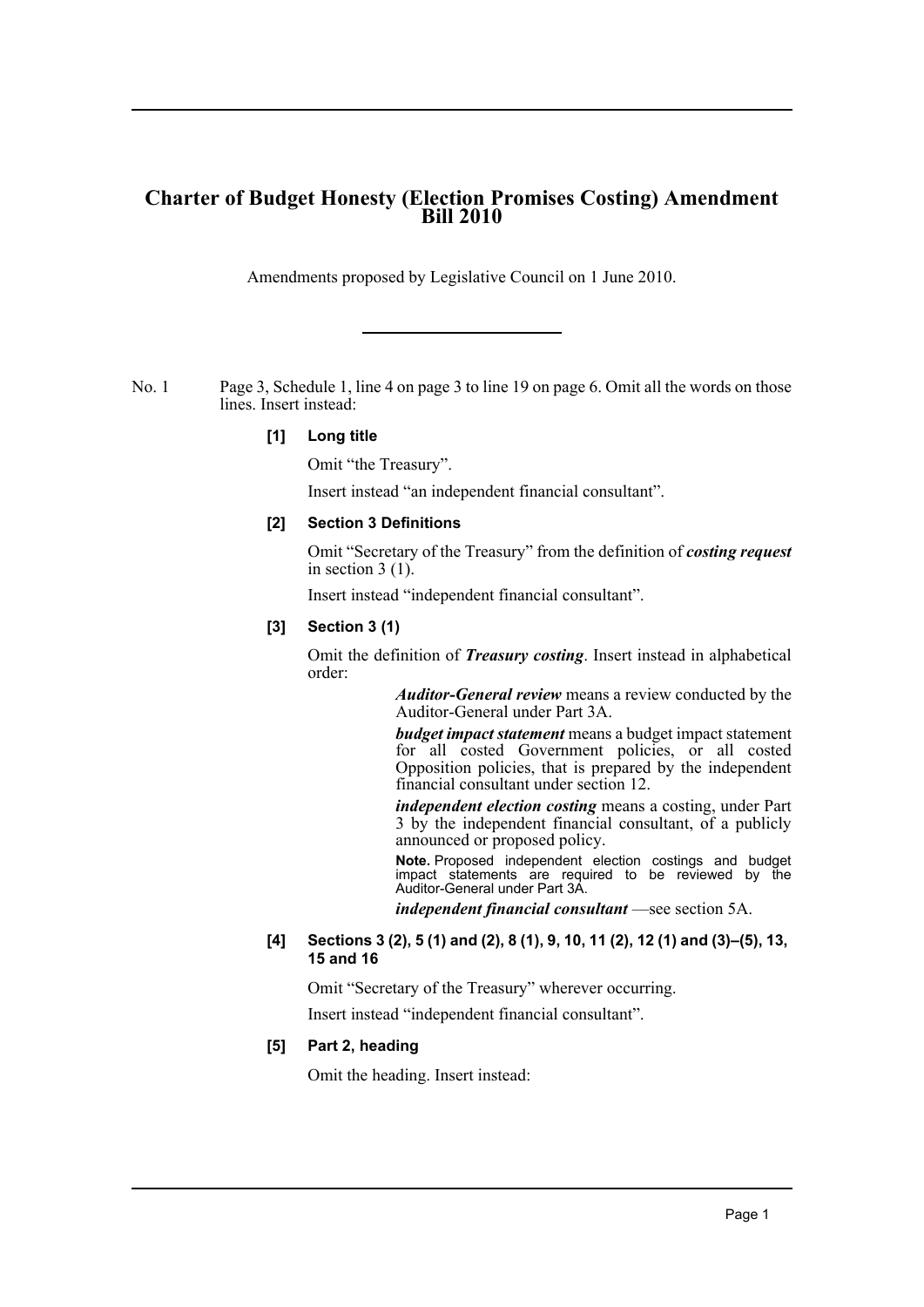# **Charter of Budget Honesty (Election Promises Costing) Amendment Bill 2010**

Amendments proposed by Legislative Council on 1 June 2010.

No. 1 Page 3, Schedule 1, line 4 on page 3 to line 19 on page 6. Omit all the words on those lines. Insert instead:

#### **[1] Long title**

Omit "the Treasury".

Insert instead "an independent financial consultant".

# **[2] Section 3 Definitions**

Omit "Secretary of the Treasury" from the definition of *costing request* in section 3 (1).

Insert instead "independent financial consultant".

# **[3] Section 3 (1)**

Omit the definition of *Treasury costing*. Insert instead in alphabetical order:

> *Auditor-General review* means a review conducted by the Auditor-General under Part 3A.

> *budget impact statement* means a budget impact statement for all costed Government policies, or all costed Opposition policies, that is prepared by the independent financial consultant under section 12.

> *independent election costing* means a costing, under Part 3 by the independent financial consultant, of a publicly announced or proposed policy.

> **Note.** Proposed independent election costings and budget impact statements are required to be reviewed by the Auditor-General under Part 3A.

*independent financial consultant* —see section 5A.

#### **[4] Sections 3 (2), 5 (1) and (2), 8 (1), 9, 10, 11 (2), 12 (1) and (3)–(5), 13, 15 and 16**

Omit "Secretary of the Treasury" wherever occurring.

Insert instead "independent financial consultant".

#### **[5] Part 2, heading**

Omit the heading. Insert instead: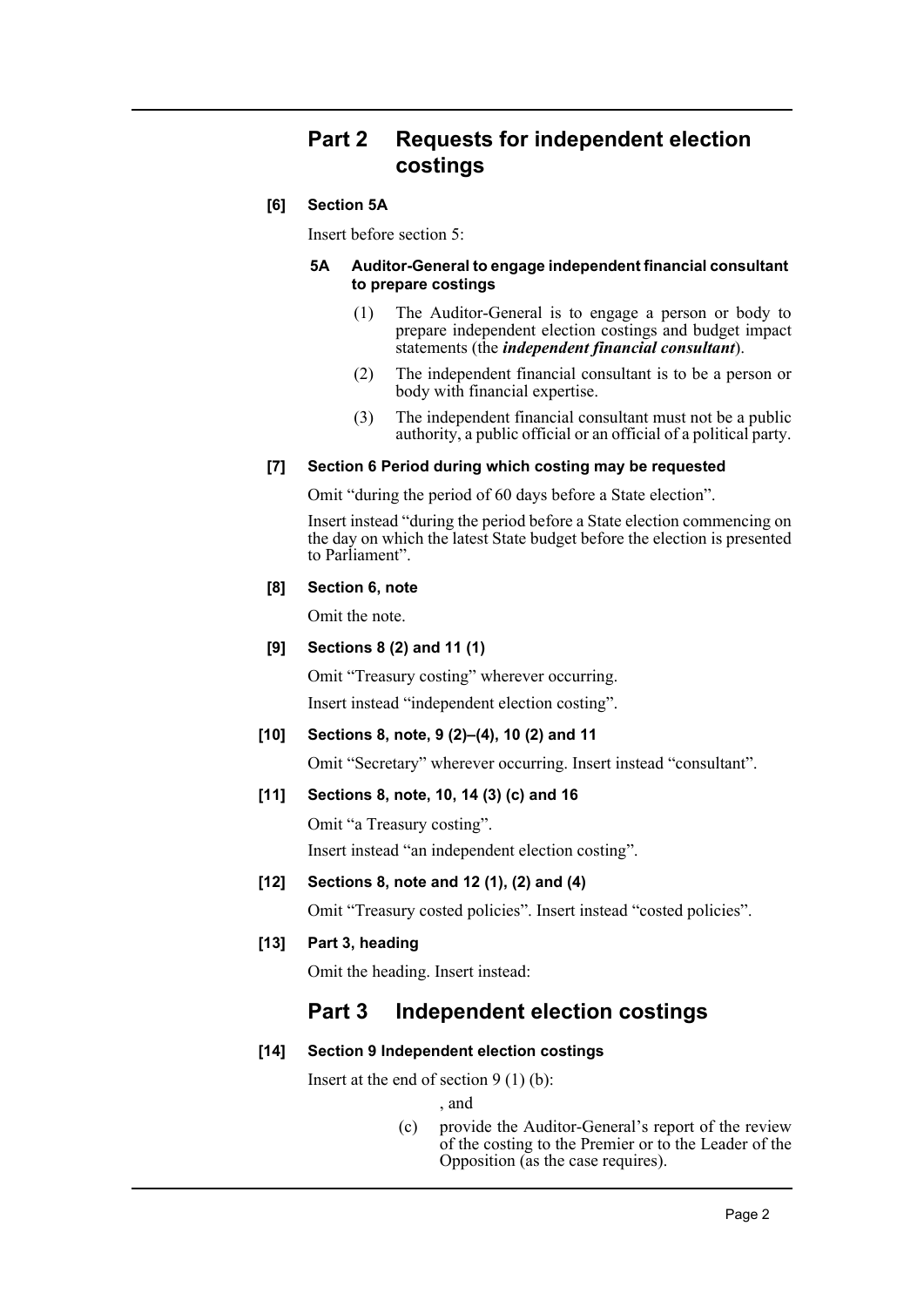# **Part 2 Requests for independent election costings**

# **[6] Section 5A**

Insert before section 5:

#### **5A Auditor-General to engage independent financial consultant to prepare costings**

- (1) The Auditor-General is to engage a person or body to prepare independent election costings and budget impact statements (the *independent financial consultant*).
- (2) The independent financial consultant is to be a person or body with financial expertise.
- (3) The independent financial consultant must not be a public authority, a public official or an official of a political party.

# **[7] Section 6 Period during which costing may be requested**

Omit "during the period of 60 days before a State election".

Insert instead "during the period before a State election commencing on the day on which the latest State budget before the election is presented to Parliament".

# **[8] Section 6, note**

Omit the note.

# **[9] Sections 8 (2) and 11 (1)**

Omit "Treasury costing" wherever occurring.

Insert instead "independent election costing".

# **[10] Sections 8, note, 9 (2)–(4), 10 (2) and 11**

Omit "Secretary" wherever occurring. Insert instead "consultant".

# **[11] Sections 8, note, 10, 14 (3) (c) and 16**

Omit "a Treasury costing".

Insert instead "an independent election costing".

# **[12] Sections 8, note and 12 (1), (2) and (4)**

Omit "Treasury costed policies". Insert instead "costed policies".

# **[13] Part 3, heading**

Omit the heading. Insert instead:

# **Part 3 Independent election costings**

#### **[14] Section 9 Independent election costings**

Insert at the end of section  $9(1)(b)$ :

, and

(c) provide the Auditor-General's report of the review of the costing to the Premier or to the Leader of the Opposition (as the case requires).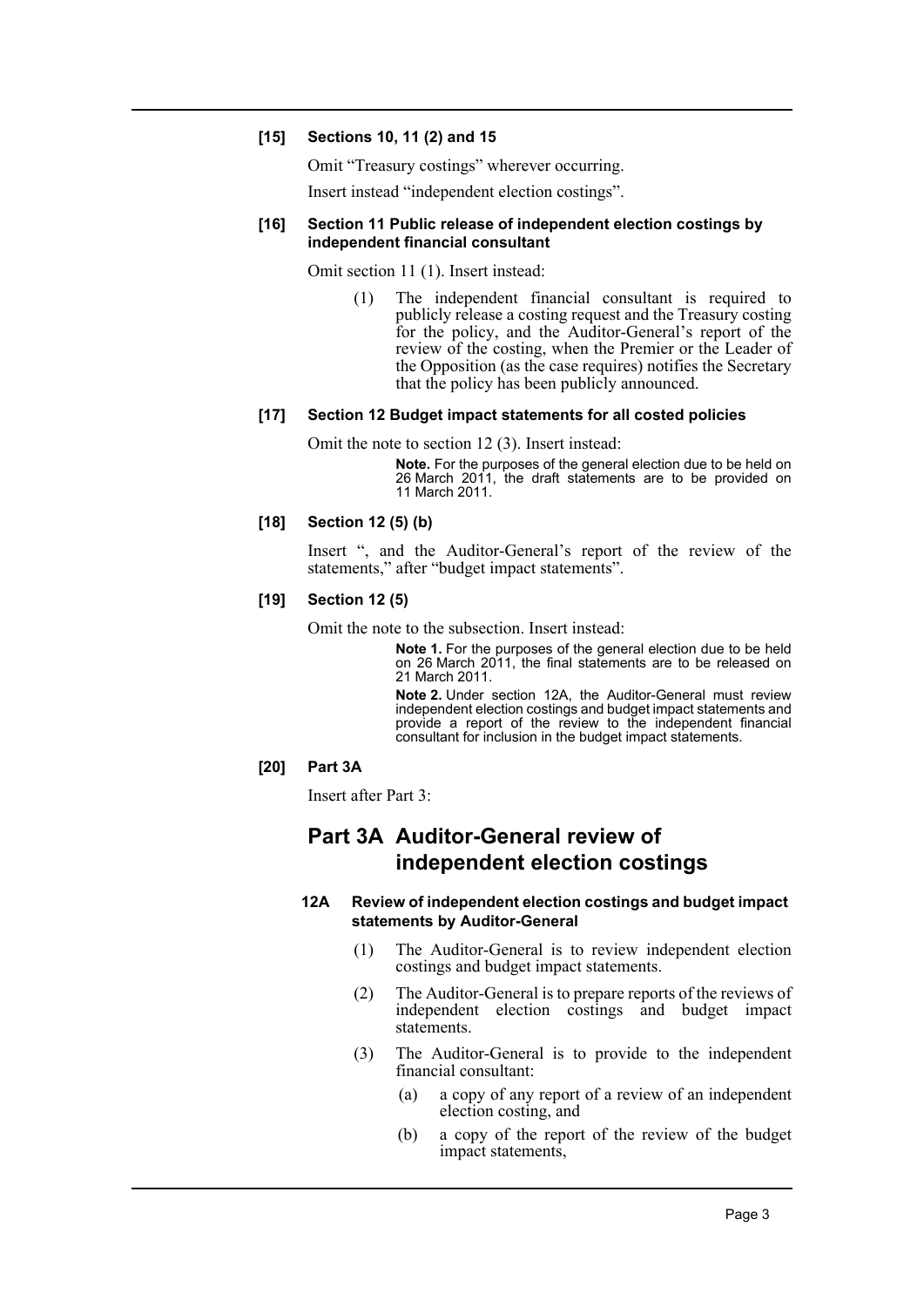#### **[15] Sections 10, 11 (2) and 15**

Omit "Treasury costings" wherever occurring.

Insert instead "independent election costings".

#### **[16] Section 11 Public release of independent election costings by independent financial consultant**

Omit section 11 (1). Insert instead:

(1) The independent financial consultant is required to publicly release a costing request and the Treasury costing for the policy, and the Auditor-General's report of the review of the costing, when the Premier or the Leader of the Opposition (as the case requires) notifies the Secretary that the policy has been publicly announced.

#### **[17] Section 12 Budget impact statements for all costed policies**

Omit the note to section 12 (3). Insert instead:

**Note.** For the purposes of the general election due to be held on 26 March 2011, the draft statements are to be provided on 11 March 2011.

#### **[18] Section 12 (5) (b)**

Insert ", and the Auditor-General's report of the review of the statements," after "budget impact statements".

#### **[19] Section 12 (5)**

Omit the note to the subsection. Insert instead:

**Note 1.** For the purposes of the general election due to be held on 26 March 2011, the final statements are to be released on 21 March 2011.

**Note 2.** Under section 12A, the Auditor-General must review independent election costings and budget impact statements and provide a report of the review to the independent financial consultant for inclusion in the budget impact statements.

#### **[20] Part 3A**

Insert after Part 3:

# **Part 3A Auditor-General review of independent election costings**

#### **12A Review of independent election costings and budget impact statements by Auditor-General**

- (1) The Auditor-General is to review independent election costings and budget impact statements.
- (2) The Auditor-General is to prepare reports of the reviews of independent election costings and budget impact statements.
- (3) The Auditor-General is to provide to the independent financial consultant:
	- (a) a copy of any report of a review of an independent election costing, and
	- (b) a copy of the report of the review of the budget impact statements,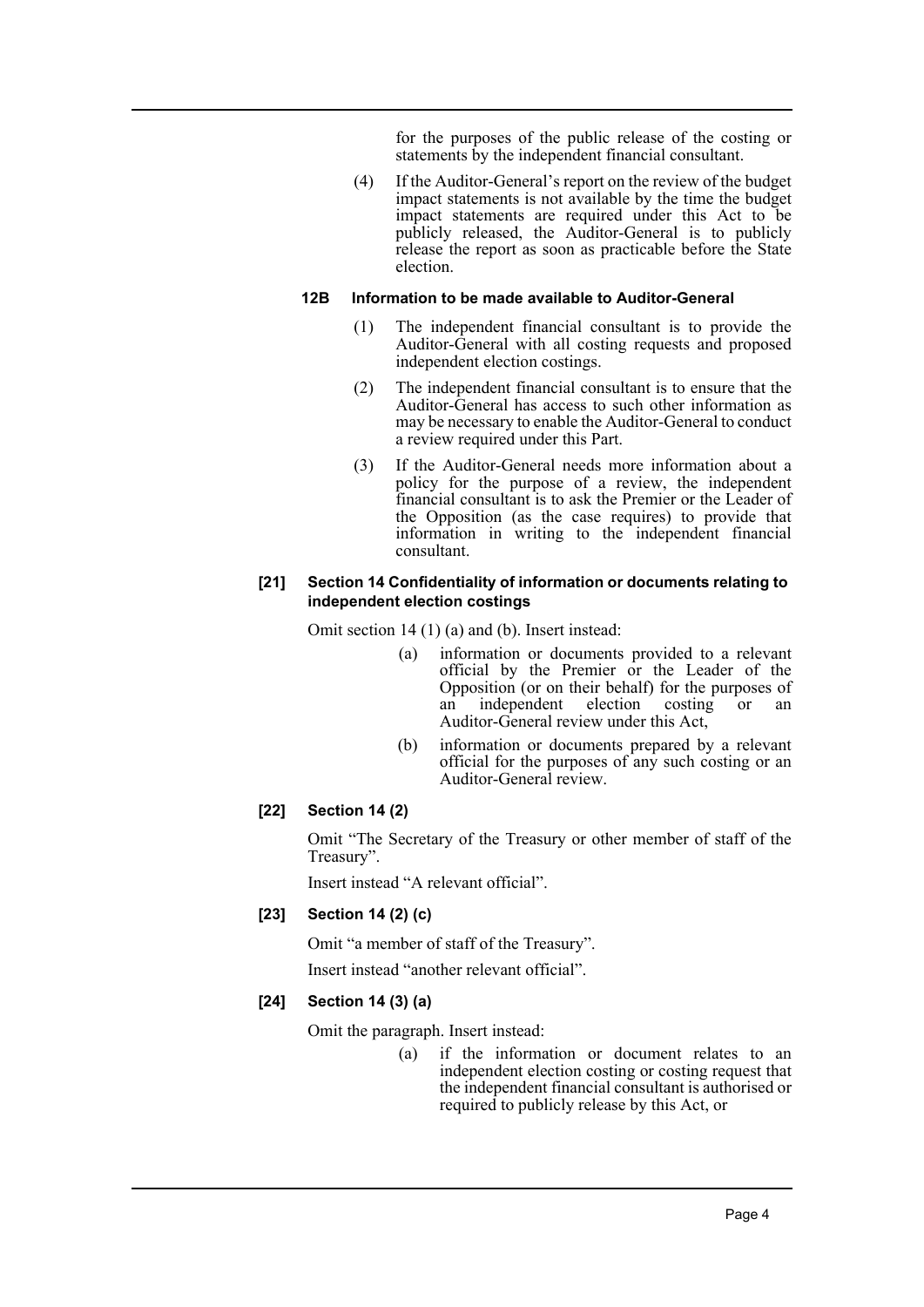for the purposes of the public release of the costing or statements by the independent financial consultant.

(4) If the Auditor-General's report on the review of the budget impact statements is not available by the time the budget impact statements are required under this Act to be publicly released, the Auditor-General is to publicly release the report as soon as practicable before the State election.

#### **12B Information to be made available to Auditor-General**

- (1) The independent financial consultant is to provide the Auditor-General with all costing requests and proposed independent election costings.
- (2) The independent financial consultant is to ensure that the Auditor-General has access to such other information as may be necessary to enable the Auditor-General to conduct a review required under this Part.
- (3) If the Auditor-General needs more information about a policy for the purpose of a review, the independent financial consultant is to ask the Premier or the Leader of the Opposition (as the case requires) to provide that information in writing to the independent financial consultant.

#### **[21] Section 14 Confidentiality of information or documents relating to independent election costings**

Omit section 14 (1) (a) and (b). Insert instead:

- (a) information or documents provided to a relevant official by the Premier or the Leader of the Opposition (or on their behalf) for the purposes of<br>an independent election costing or an an independent election costing or an Auditor-General review under this Act,
- (b) information or documents prepared by a relevant official for the purposes of any such costing or an Auditor-General review.

#### **[22] Section 14 (2)**

Omit "The Secretary of the Treasury or other member of staff of the Treasury".

Insert instead "A relevant official".

#### **[23] Section 14 (2) (c)**

Omit "a member of staff of the Treasury".

Insert instead "another relevant official".

#### **[24] Section 14 (3) (a)**

Omit the paragraph. Insert instead:

(a) if the information or document relates to an independent election costing or costing request that the independent financial consultant is authorised or required to publicly release by this Act, or